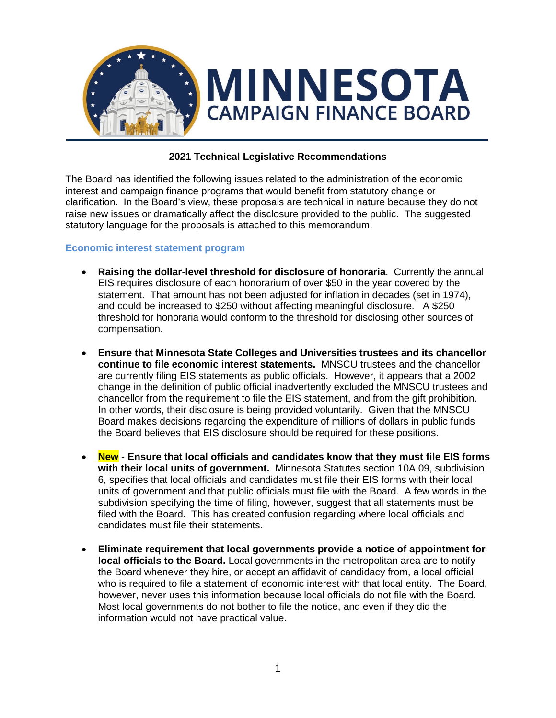

## **2021 Technical Legislative Recommendations**

The Board has identified the following issues related to the administration of the economic interest and campaign finance programs that would benefit from statutory change or clarification. In the Board's view, these proposals are technical in nature because they do not raise new issues or dramatically affect the disclosure provided to the public. The suggested statutory language for the proposals is attached to this memorandum.

#### **Economic interest statement program**

- **Raising the dollar-level threshold for disclosure of honoraria**. Currently the annual EIS requires disclosure of each honorarium of over \$50 in the year covered by the statement. That amount has not been adjusted for inflation in decades (set in 1974), and could be increased to \$250 without affecting meaningful disclosure. A \$250 threshold for honoraria would conform to the threshold for disclosing other sources of compensation.
- **Ensure that Minnesota State Colleges and Universities trustees and its chancellor continue to file economic interest statements.** MNSCU trustees and the chancellor are currently filing EIS statements as public officials. However, it appears that a 2002 change in the definition of public official inadvertently excluded the MNSCU trustees and chancellor from the requirement to file the EIS statement, and from the gift prohibition. In other words, their disclosure is being provided voluntarily. Given that the MNSCU Board makes decisions regarding the expenditure of millions of dollars in public funds the Board believes that EIS disclosure should be required for these positions.
- **New - Ensure that local officials and candidates know that they must file EIS forms with their local units of government.** Minnesota Statutes section 10A.09, subdivision 6, specifies that local officials and candidates must file their EIS forms with their local units of government and that public officials must file with the Board. A few words in the subdivision specifying the time of filing, however, suggest that all statements must be filed with the Board. This has created confusion regarding where local officials and candidates must file their statements.
- **Eliminate requirement that local governments provide a notice of appointment for local officials to the Board.** Local governments in the metropolitan area are to notify the Board whenever they hire, or accept an affidavit of candidacy from, a local official who is required to file a statement of economic interest with that local entity. The Board, however, never uses this information because local officials do not file with the Board. Most local governments do not bother to file the notice, and even if they did the information would not have practical value.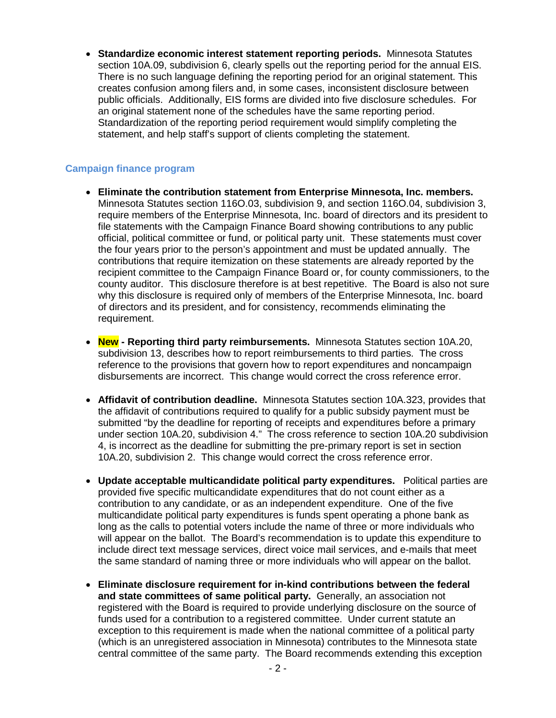• **Standardize economic interest statement reporting periods.** Minnesota Statutes section 10A.09, subdivision 6, clearly spells out the reporting period for the annual EIS. There is no such language defining the reporting period for an original statement. This creates confusion among filers and, in some cases, inconsistent disclosure between public officials. Additionally, EIS forms are divided into five disclosure schedules. For an original statement none of the schedules have the same reporting period. Standardization of the reporting period requirement would simplify completing the statement, and help staff's support of clients completing the statement.

#### **Campaign finance program**

- **Eliminate the contribution statement from Enterprise Minnesota, Inc. members.**  Minnesota Statutes section 116O.03, subdivision 9, and section 116O.04, subdivision 3, require members of the Enterprise Minnesota, Inc. board of directors and its president to file statements with the Campaign Finance Board showing contributions to any public official, political committee or fund, or political party unit. These statements must cover the four years prior to the person's appointment and must be updated annually. The contributions that require itemization on these statements are already reported by the recipient committee to the Campaign Finance Board or, for county commissioners, to the county auditor. This disclosure therefore is at best repetitive. The Board is also not sure why this disclosure is required only of members of the Enterprise Minnesota, Inc. board of directors and its president, and for consistency, recommends eliminating the requirement.
- **New - Reporting third party reimbursements.** Minnesota Statutes section 10A.20, subdivision 13, describes how to report reimbursements to third parties. The cross reference to the provisions that govern how to report expenditures and noncampaign disbursements are incorrect. This change would correct the cross reference error.
- **Affidavit of contribution deadline.** Minnesota Statutes section 10A.323, provides that the affidavit of contributions required to qualify for a public subsidy payment must be submitted "by the deadline for reporting of receipts and expenditures before a primary under section 10A.20, subdivision 4." The cross reference to section 10A.20 subdivision 4, is incorrect as the deadline for submitting the pre-primary report is set in section 10A.20, subdivision 2. This change would correct the cross reference error.
- **Update acceptable multicandidate political party expenditures.** Political parties are provided five specific multicandidate expenditures that do not count either as a contribution to any candidate, or as an independent expenditure. One of the five multicandidate political party expenditures is funds spent operating a phone bank as long as the calls to potential voters include the name of three or more individuals who will appear on the ballot. The Board's recommendation is to update this expenditure to include direct text message services, direct voice mail services, and e-mails that meet the same standard of naming three or more individuals who will appear on the ballot.
- **Eliminate disclosure requirement for in-kind contributions between the federal and state committees of same political party.** Generally, an association not registered with the Board is required to provide underlying disclosure on the source of funds used for a contribution to a registered committee. Under current statute an exception to this requirement is made when the national committee of a political party (which is an unregistered association in Minnesota) contributes to the Minnesota state central committee of the same party. The Board recommends extending this exception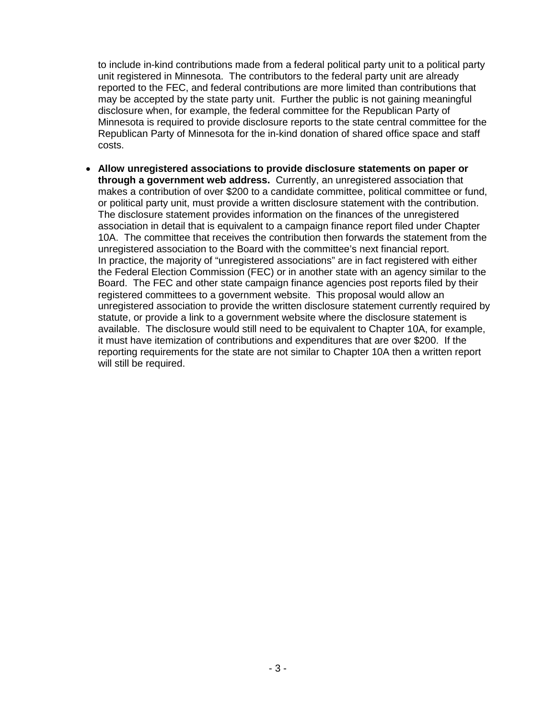to include in-kind contributions made from a federal political party unit to a political party unit registered in Minnesota. The contributors to the federal party unit are already reported to the FEC, and federal contributions are more limited than contributions that may be accepted by the state party unit. Further the public is not gaining meaningful disclosure when, for example, the federal committee for the Republican Party of Minnesota is required to provide disclosure reports to the state central committee for the Republican Party of Minnesota for the in-kind donation of shared office space and staff costs.

• **Allow unregistered associations to provide disclosure statements on paper or through a government web address.** Currently, an unregistered association that makes a contribution of over \$200 to a candidate committee, political committee or fund, or political party unit, must provide a written disclosure statement with the contribution. The disclosure statement provides information on the finances of the unregistered association in detail that is equivalent to a campaign finance report filed under Chapter 10A. The committee that receives the contribution then forwards the statement from the unregistered association to the Board with the committee's next financial report. In practice, the majority of "unregistered associations" are in fact registered with either the Federal Election Commission (FEC) or in another state with an agency similar to the Board. The FEC and other state campaign finance agencies post reports filed by their registered committees to a government website. This proposal would allow an unregistered association to provide the written disclosure statement currently required by statute, or provide a link to a government website where the disclosure statement is available. The disclosure would still need to be equivalent to Chapter 10A, for example, it must have itemization of contributions and expenditures that are over \$200. If the reporting requirements for the state are not similar to Chapter 10A then a written report will still be required.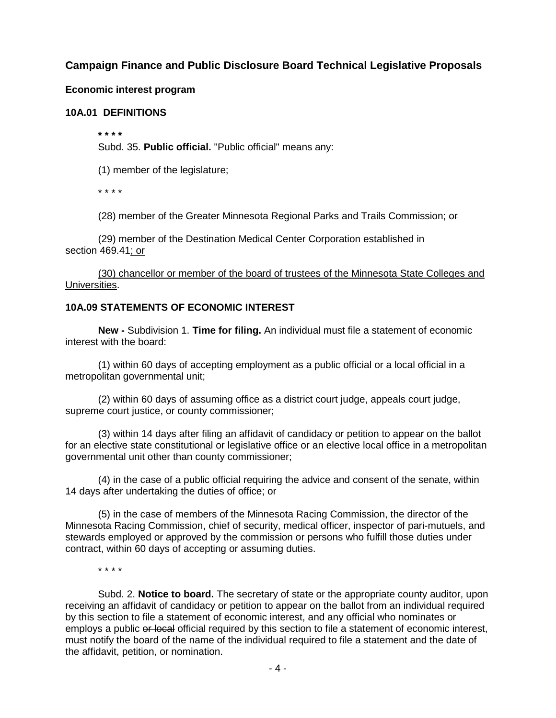# **Campaign Finance and Public Disclosure Board Technical Legislative Proposals**

### **Economic interest program**

#### **10A.01 DEFINITIONS**

**\* \* \* \***

Subd. 35. **Public official.** "Public official" means any:

(1) member of the legislature;

\* \* \* \*

(28) member of the Greater Minnesota Regional Parks and Trails Commission; or

(29) member of the Destination Medical Center Corporation established in section 469.41; or

(30) chancellor or member of the board of trustees of the Minnesota State Colleges and Universities.

#### **10A.09 STATEMENTS OF ECONOMIC INTEREST**

**New -** Subdivision 1. **Time for filing.** An individual must file a statement of economic interest with the board:

(1) within 60 days of accepting employment as a public official or a local official in a metropolitan governmental unit;

(2) within 60 days of assuming office as a district court judge, appeals court judge, supreme court justice, or county commissioner;

(3) within 14 days after filing an affidavit of candidacy or petition to appear on the ballot for an elective state constitutional or legislative office or an elective local office in a metropolitan governmental unit other than county commissioner;

(4) in the case of a public official requiring the advice and consent of the senate, within 14 days after undertaking the duties of office; or

(5) in the case of members of the Minnesota Racing Commission, the director of the Minnesota Racing Commission, chief of security, medical officer, inspector of pari-mutuels, and stewards employed or approved by the commission or persons who fulfill those duties under contract, within 60 days of accepting or assuming duties.

\* \* \* \*

Subd. 2. **Notice to board.** The secretary of state or the appropriate county auditor, upon receiving an affidavit of candidacy or petition to appear on the ballot from an individual required by this section to file a statement of economic interest, and any official who nominates or employs a public or local official required by this section to file a statement of economic interest, must notify the board of the name of the individual required to file a statement and the date of the affidavit, petition, or nomination.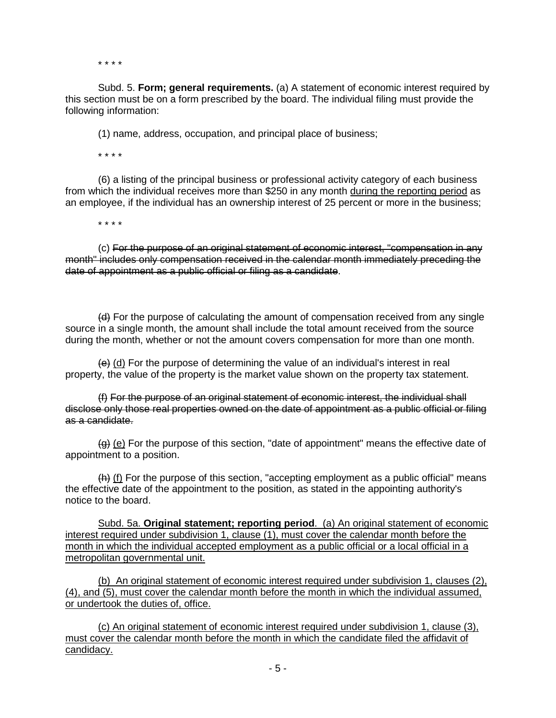\* \* \* \*

Subd. 5. **Form; general requirements.** (a) A statement of economic interest required by this section must be on a form prescribed by the board. The individual filing must provide the following information:

(1) name, address, occupation, and principal place of business;

\* \* \* \*

(6) a listing of the principal business or professional activity category of each business from which the individual receives more than \$250 in any month during the reporting period as an employee, if the individual has an ownership interest of 25 percent or more in the business;

\* \* \* \*

(c) For the purpose of an original statement of economic interest, "compensation in any month" includes only compensation received in the calendar month immediately preceding the date of appointment as a public official or filing as a candidate.

(d) For the purpose of calculating the amount of compensation received from any single source in a single month, the amount shall include the total amount received from the source during the month, whether or not the amount covers compensation for more than one month.

 $\left\{ \Theta \right\}$  (d) For the purpose of determining the value of an individual's interest in real property, the value of the property is the market value shown on the property tax statement.

(f) For the purpose of an original statement of economic interest, the individual shall disclose only those real properties owned on the date of appointment as a public official or filing as a candidate.

 $(g)$  (e) For the purpose of this section, "date of appointment" means the effective date of appointment to a position.

 $(h)$  (f) For the purpose of this section, "accepting employment as a public official" means the effective date of the appointment to the position, as stated in the appointing authority's notice to the board.

Subd. 5a. **Original statement; reporting period**. (a) An original statement of economic interest required under subdivision 1, clause (1), must cover the calendar month before the month in which the individual accepted employment as a public official or a local official in a metropolitan governmental unit.

(b) An original statement of economic interest required under subdivision 1, clauses (2), (4), and (5), must cover the calendar month before the month in which the individual assumed, or undertook the duties of, office.

(c) An original statement of economic interest required under subdivision 1, clause (3), must cover the calendar month before the month in which the candidate filed the affidavit of candidacy.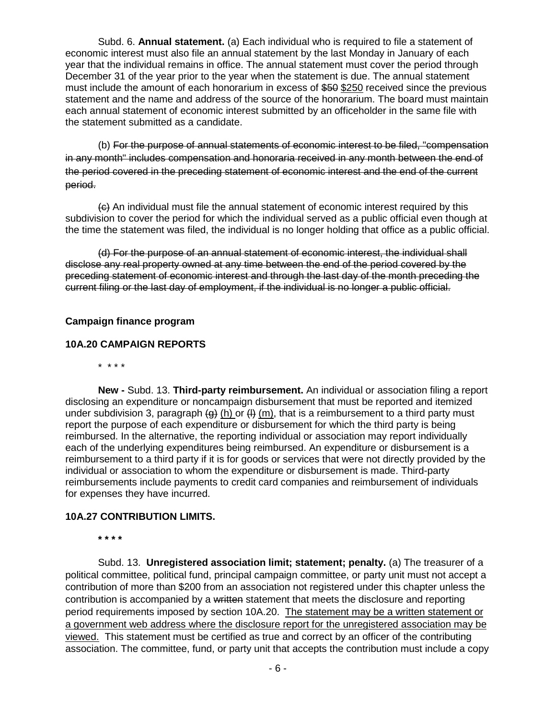Subd. 6. **Annual statement.** (a) Each individual who is required to file a statement of economic interest must also file an annual statement by the last Monday in January of each year that the individual remains in office. The annual statement must cover the period through December 31 of the year prior to the year when the statement is due. The annual statement must include the amount of each honorarium in excess of \$50 \$250 received since the previous statement and the name and address of the source of the honorarium. The board must maintain each annual statement of economic interest submitted by an officeholder in the same file with the statement submitted as a candidate.

(b) For the purpose of annual statements of economic interest to be filed, "compensation in any month" includes compensation and honoraria received in any month between the end of the period covered in the preceding statement of economic interest and the end of the current period.

(c) An individual must file the annual statement of economic interest required by this subdivision to cover the period for which the individual served as a public official even though at the time the statement was filed, the individual is no longer holding that office as a public official.

(d) For the purpose of an annual statement of economic interest, the individual shall disclose any real property owned at any time between the end of the period covered by the preceding statement of economic interest and through the last day of the month preceding the current filing or the last day of employment, if the individual is no longer a public official.

### **Campaign finance program**

#### **10A.20 CAMPAIGN REPORTS**

\* \* \* \*

**New -** Subd. 13. **Third-party reimbursement.** An individual or association filing a report disclosing an expenditure or noncampaign disbursement that must be reported and itemized under subdivision 3, paragraph  $\left(\frac{a}{b}\right)$  (h) or  $\left(\frac{b}{b}\right)$  (m), that is a reimbursement to a third party must report the purpose of each expenditure or disbursement for which the third party is being reimbursed. In the alternative, the reporting individual or association may report individually each of the underlying expenditures being reimbursed. An expenditure or disbursement is a reimbursement to a third party if it is for goods or services that were not directly provided by the individual or association to whom the expenditure or disbursement is made. Third-party reimbursements include payments to credit card companies and reimbursement of individuals for expenses they have incurred.

#### **10A.27 CONTRIBUTION LIMITS.**

**\* \* \* \***

Subd. 13. **Unregistered association limit; statement; penalty.** (a) The treasurer of a political committee, political fund, principal campaign committee, or party unit must not accept a contribution of more than \$200 from an association not registered under this chapter unless the contribution is accompanied by a written statement that meets the disclosure and reporting period requirements imposed by section 10A.20. The statement may be a written statement or a government web address where the disclosure report for the unregistered association may be viewed. This statement must be certified as true and correct by an officer of the contributing association. The committee, fund, or party unit that accepts the contribution must include a copy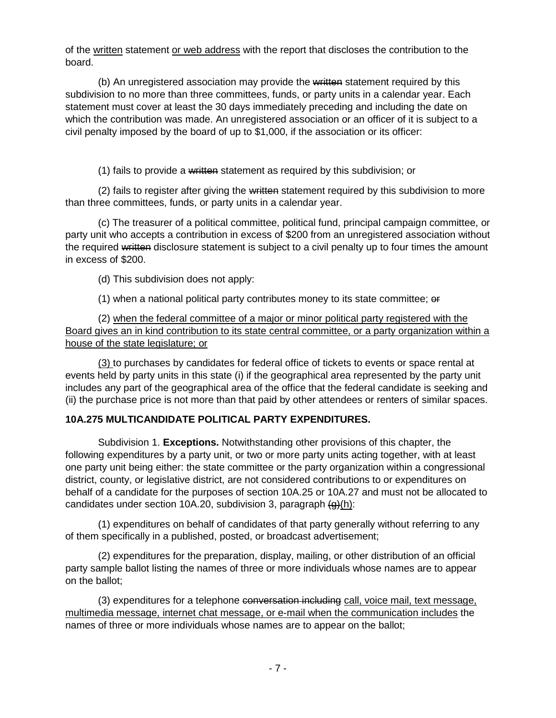of the written statement or web address with the report that discloses the contribution to the board.

(b) An unregistered association may provide the written statement required by this subdivision to no more than three committees, funds, or party units in a calendar year. Each statement must cover at least the 30 days immediately preceding and including the date on which the contribution was made. An unregistered association or an officer of it is subject to a civil penalty imposed by the board of up to \$1,000, if the association or its officer:

(1) fails to provide a written statement as required by this subdivision; or

(2) fails to register after giving the written statement required by this subdivision to more than three committees, funds, or party units in a calendar year.

(c) The treasurer of a political committee, political fund, principal campaign committee, or party unit who accepts a contribution in excess of \$200 from an unregistered association without the required written disclosure statement is subject to a civil penalty up to four times the amount in excess of \$200.

(d) This subdivision does not apply:

(1) when a national political party contributes money to its state committee; or

(2) when the federal committee of a major or minor political party registered with the Board gives an in kind contribution to its state central committee, or a party organization within a house of the state legislature; or

(3) to purchases by candidates for federal office of tickets to events or space rental at events held by party units in this state (i) if the geographical area represented by the party unit includes any part of the geographical area of the office that the federal candidate is seeking and (ii) the purchase price is not more than that paid by other attendees or renters of similar spaces.

# **10A.275 MULTICANDIDATE POLITICAL PARTY EXPENDITURES.**

Subdivision 1. **Exceptions.** Notwithstanding other provisions of this chapter, the following expenditures by a party unit, or two or more party units acting together, with at least one party unit being either: the state committee or the party organization within a congressional district, county, or legislative district, are not considered contributions to or expenditures on behalf of a candidate for the purposes of section 10A.25 or 10A.27 and must not be allocated to candidates under section 10A.20, subdivision 3, paragraph  $\left(\frac{d}{dx}\right)(h)$ :

(1) expenditures on behalf of candidates of that party generally without referring to any of them specifically in a published, posted, or broadcast advertisement;

(2) expenditures for the preparation, display, mailing, or other distribution of an official party sample ballot listing the names of three or more individuals whose names are to appear on the ballot;

(3) expenditures for a telephone conversation including call, voice mail, text message, multimedia message, internet chat message, or e-mail when the communication includes the names of three or more individuals whose names are to appear on the ballot;